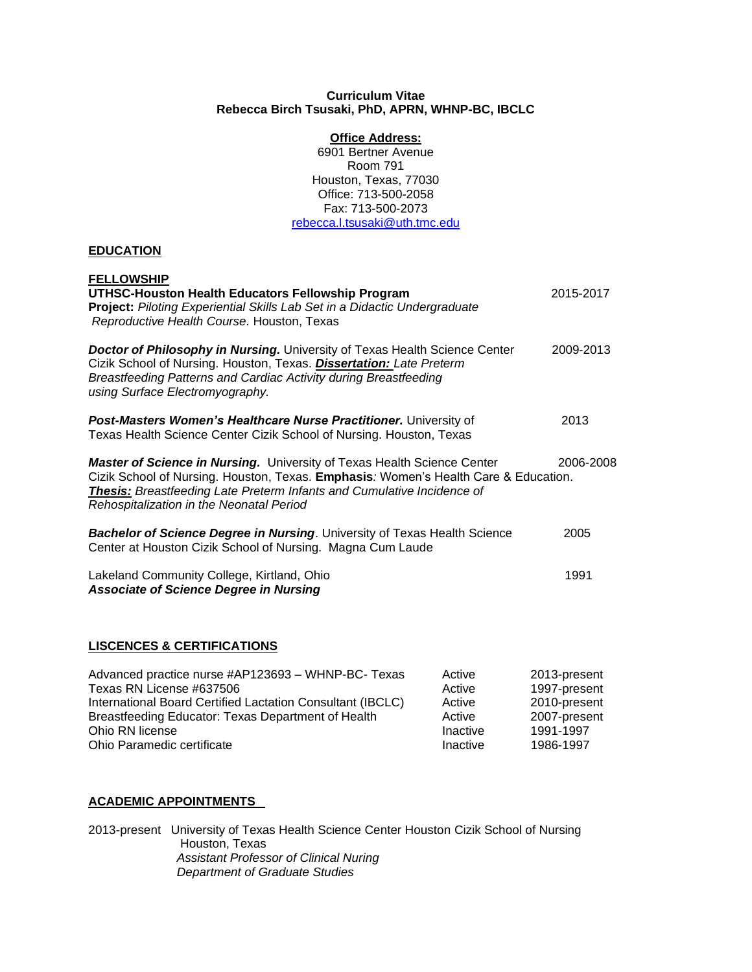## **Curriculum Vitae Rebecca Birch Tsusaki, PhD, APRN, WHNP-BC, IBCLC**

## **Office Address:**

6901 Bertner Avenue Room 791 Houston, Texas, 77030 Office: 713-500-2058 Fax: 713-500-2073 [rebecca.l.tsusaki@uth.tmc.edu](mailto:rebecca.l.tsusaki@uth.tmc.edu)

# **EDUCATION**

| <b>FELLOWSHIP</b><br>UTHSC-Houston Health Educators Fellowship Program<br>Project: Piloting Experiential Skills Lab Set in a Didactic Undergraduate<br>Reproductive Health Course. Houston, Texas                                                                                                  | 2015-2017 |
|----------------------------------------------------------------------------------------------------------------------------------------------------------------------------------------------------------------------------------------------------------------------------------------------------|-----------|
| <b>Doctor of Philosophy in Nursing.</b> University of Texas Health Science Center<br>Cizik School of Nursing. Houston, Texas. Dissertation: Late Preterm<br>Breastfeeding Patterns and Cardiac Activity during Breastfeeding<br>using Surface Electromyography.                                    | 2009-2013 |
| Post-Masters Women's Healthcare Nurse Practitioner. University of<br>Texas Health Science Center Cizik School of Nursing. Houston, Texas                                                                                                                                                           | 2013      |
| <b>Master of Science in Nursing.</b> University of Texas Health Science Center<br>Cizik School of Nursing. Houston, Texas. Emphasis: Women's Health Care & Education.<br><b>Thesis:</b> Breastfeeding Late Preterm Infants and Cumulative Incidence of<br>Rehospitalization in the Neonatal Period | 2006-2008 |
| <b>Bachelor of Science Degree in Nursing.</b> University of Texas Health Science<br>Center at Houston Cizik School of Nursing. Magna Cum Laude                                                                                                                                                     | 2005      |
| Lakeland Community College, Kirtland, Ohio<br><b>Associate of Science Degree in Nursing</b>                                                                                                                                                                                                        | 1991      |
| $\overline{1}$                                                                                                                                                                                                                                                                                     |           |

## **LISCENCES & CERTIFICATIONS**

| Advanced practice nurse #AP123693 - WHNP-BC- Texas         | Active   | 2013-present |
|------------------------------------------------------------|----------|--------------|
| Texas RN License #637506                                   | Active   | 1997-present |
| International Board Certified Lactation Consultant (IBCLC) | Active   | 2010-present |
| Breastfeeding Educator: Texas Department of Health         | Active   | 2007-present |
| Ohio RN license                                            | Inactive | 1991-1997    |
| Ohio Paramedic certificate                                 | Inactive | 1986-1997    |

# **ACADEMIC APPOINTMENTS**

2013-present University of Texas Health Science Center Houston Cizik School of Nursing Houston, Texas *Assistant Professor of Clinical Nuring Department of Graduate Studies*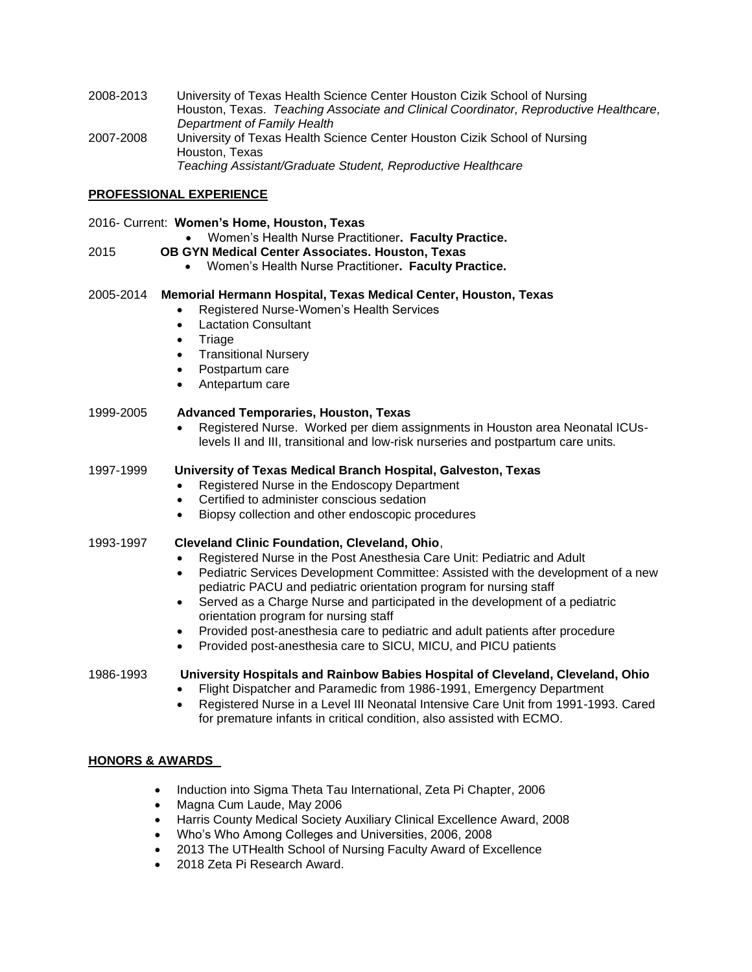2008-2013 University of Texas Health Science Center Houston Cizik School of Nursing Houston, Texas. *Teaching Associate and Clinical Coordinator, Reproductive Healthcare, Department of Family Health* 2007-2008 University of Texas Health Science Center Houston Cizik School of Nursing Houston, Texas *Teaching Assistant/Graduate Student, Reproductive Healthcare*

## **PROFESSIONAL EXPERIENCE**

#### 2016- Current: **Women's Home, Houston, Texas**

• Women's Health Nurse Practitioner**. Faculty Practice.**

## 2015 **OB GYN Medical Center Associates. Houston, Texas**

• Women's Health Nurse Practitioner**. Faculty Practice.**

## 2005-2014 **Memorial Hermann Hospital, Texas Medical Center, Houston, Texas**

- Registered Nurse-Women's Health Services
- Lactation Consultant
- **Triage**
- Transitional Nursery
- Postpartum care
- Antepartum care

## 1999-2005 **Advanced Temporaries, Houston, Texas**

• Registered Nurse. Worked per diem assignments in Houston area Neonatal ICUslevels II and III, transitional and low-risk nurseries and postpartum care units.

## 1997-1999 **University of Texas Medical Branch Hospital, Galveston, Texas**

- Registered Nurse in the Endoscopy Department
- Certified to administer conscious sedation
- Biopsy collection and other endoscopic procedures

# 1993-1997 **Cleveland Clinic Foundation, Cleveland, Ohio**,

- Registered Nurse in the Post Anesthesia Care Unit: Pediatric and Adult
- Pediatric Services Development Committee: Assisted with the development of a new pediatric PACU and pediatric orientation program for nursing staff
- Served as a Charge Nurse and participated in the development of a pediatric orientation program for nursing staff
- Provided post-anesthesia care to pediatric and adult patients after procedure
- Provided post-anesthesia care to SICU, MICU, and PICU patients

# 1986-1993 **University Hospitals and Rainbow Babies Hospital of Cleveland, Cleveland, Ohio**

- Flight Dispatcher and Paramedic from 1986-1991, Emergency Department
- Registered Nurse in a Level III Neonatal Intensive Care Unit from 1991-1993. Cared for premature infants in critical condition, also assisted with ECMO.

# **HONORS & AWARDS**

- Induction into Sigma Theta Tau International, Zeta Pi Chapter, 2006
- Magna Cum Laude, May 2006
- Harris County Medical Society Auxiliary Clinical Excellence Award, 2008
- Who's Who Among Colleges and Universities, 2006, 2008
- 2013 The UTHealth School of Nursing Faculty Award of Excellence
- 2018 Zeta Pi Research Award.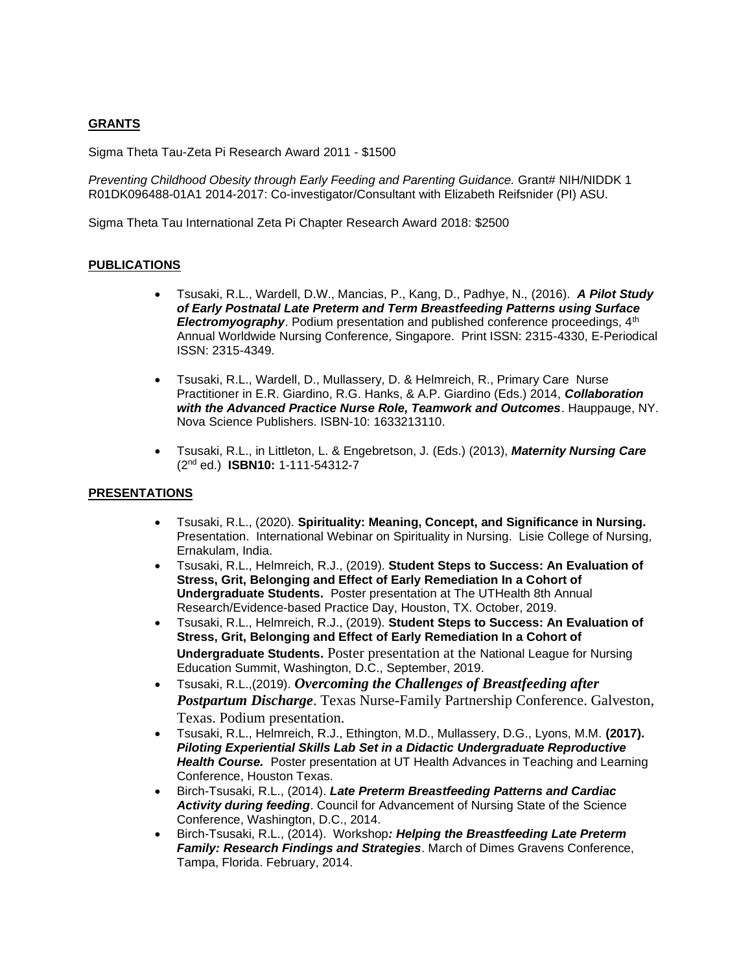# **GRANTS**

Sigma Theta Tau-Zeta Pi Research Award 2011 - \$1500

*Preventing Childhood Obesity through Early Feeding and Parenting Guidance.* Grant# NIH/NIDDK 1 R01DK096488-01A1 2014-2017: Co-investigator/Consultant with Elizabeth Reifsnider (PI) ASU.

Sigma Theta Tau International Zeta Pi Chapter Research Award 2018: \$2500

## **PUBLICATIONS**

- Tsusaki, R.L., Wardell, D.W., Mancias, P., Kang, D., Padhye, N., (2016). *A Pilot Study of Early Postnatal Late Preterm and Term Breastfeeding Patterns using Surface*  **Electromyography**. Podium presentation and published conference proceedings, 4<sup>th</sup> Annual Worldwide Nursing Conference, Singapore. Print ISSN: 2315-4330, E-Periodical ISSN: 2315-4349.
- Tsusaki, R.L., Wardell, D., Mullassery, D. & Helmreich, R., Primary Care Nurse Practitioner in E.R. Giardino, R.G. Hanks, & A.P. Giardino (Eds.) 2014, *Collaboration with the Advanced Practice Nurse Role, Teamwork and Outcomes*. Hauppauge, NY. Nova Science Publishers. ISBN-10: 1633213110.
- Tsusaki, R.L., in Littleton, L. & Engebretson, J. (Eds.) (2013), *Maternity Nursing Care* (2nd ed.) **ISBN10:** 1-111-54312-7

## **PRESENTATIONS**

- Tsusaki, R.L., (2020). **Spirituality: Meaning, Concept, and Significance in Nursing.**  Presentation. International Webinar on Spirituality in Nursing. Lisie College of Nursing, Ernakulam, India.
- Tsusaki, R.L., Helmreich, R.J., (2019). **Student Steps to Success: An Evaluation of Stress, Grit, Belonging and Effect of Early Remediation In a Cohort of Undergraduate Students.** Poster presentation at The UTHealth 8th Annual Research/Evidence-based Practice Day, Houston, TX. October, 2019.
- Tsusaki, R.L., Helmreich, R.J., (2019). **Student Steps to Success: An Evaluation of Stress, Grit, Belonging and Effect of Early Remediation In a Cohort of Undergraduate Students.** Poster presentation at the National League for Nursing Education Summit, Washington, D.C., September, 2019.
- Tsusaki, R.L.,(2019). *Overcoming the Challenges of Breastfeeding after Postpartum Discharge*. Texas Nurse-Family Partnership Conference. Galveston, Texas. Podium presentation.
- Tsusaki, R.L., Helmreich, R.J., Ethington, M.D., Mullassery, D.G., Lyons, M.M. **(2017).**  *Piloting Experiential Skills Lab Set in a Didactic Undergraduate Reproductive*  **Health Course.** Poster presentation at UT Health Advances in Teaching and Learning Conference, Houston Texas.
- Birch-Tsusaki, R.L., (2014). *Late Preterm Breastfeeding Patterns and Cardiac Activity during feeding*. Council for Advancement of Nursing State of the Science Conference, Washington, D.C., 2014.
- Birch-Tsusaki, R.L., (2014). Workshop*: Helping the Breastfeeding Late Preterm Family: Research Findings and Strategies*. March of Dimes Gravens Conference, Tampa, Florida. February, 2014.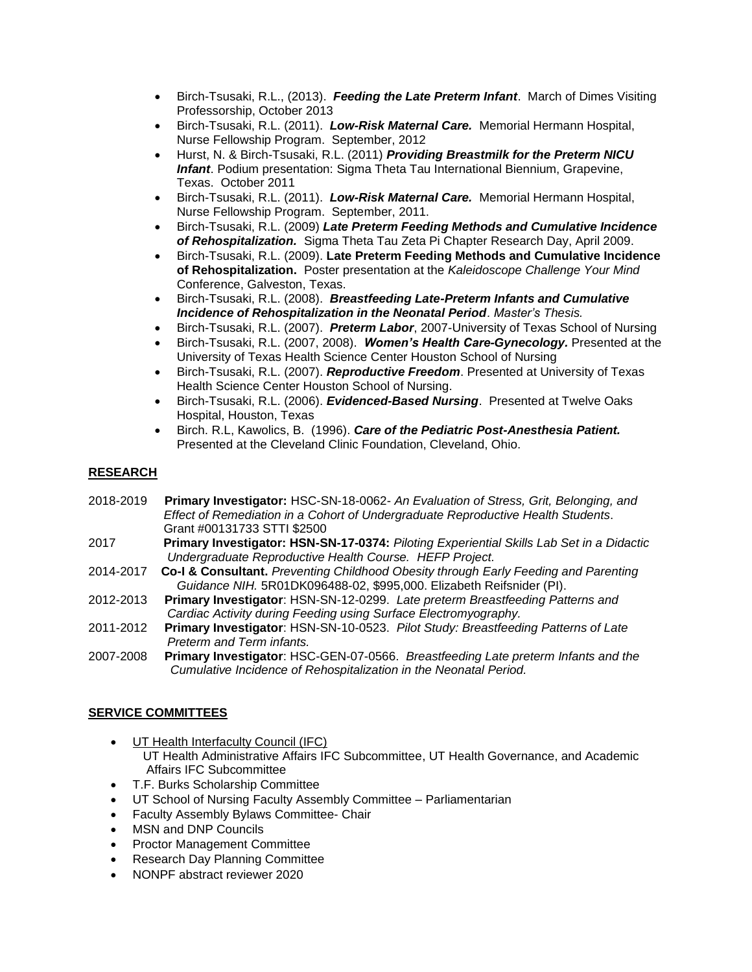- Birch-Tsusaki, R.L., (2013). *Feeding the Late Preterm Infant*. March of Dimes Visiting Professorship, October 2013
- Birch-Tsusaki, R.L. (2011). *Low-Risk Maternal Care.* Memorial Hermann Hospital, Nurse Fellowship Program. September, 2012
- Hurst, N. & Birch-Tsusaki, R.L. (2011) *Providing Breastmilk for the Preterm NICU Infant*. Podium presentation: Sigma Theta Tau International Biennium, Grapevine, Texas. October 2011
- Birch-Tsusaki, R.L. (2011). *Low-Risk Maternal Care.* Memorial Hermann Hospital, Nurse Fellowship Program. September, 2011.
- Birch-Tsusaki, R.L. (2009) *Late Preterm Feeding Methods and Cumulative Incidence of Rehospitalization.* Sigma Theta Tau Zeta Pi Chapter Research Day, April 2009.
- Birch-Tsusaki, R.L. (2009). **Late Preterm Feeding Methods and Cumulative Incidence of Rehospitalization.** Poster presentation at the *Kaleidoscope Challenge Your Mind*  Conference, Galveston, Texas.
- Birch-Tsusaki, R.L. (2008). *Breastfeeding Late-Preterm Infants and Cumulative Incidence of Rehospitalization in the Neonatal Period. Master's Thesis.*
- Birch-Tsusaki, R.L. (2007). *Preterm Labor*, 2007-University of Texas School of Nursing
- Birch-Tsusaki, R.L. (2007, 2008). *Women's Health Care-Gynecology.* Presented at the University of Texas Health Science Center Houston School of Nursing
- Birch-Tsusaki, R.L. (2007). *Reproductive Freedom*. Presented at University of Texas Health Science Center Houston School of Nursing.
- Birch-Tsusaki, R.L. (2006). *Evidenced-Based Nursing*. Presented at Twelve Oaks Hospital, Houston, Texas
- Birch. R.L, Kawolics, B. (1996). *Care of the Pediatric Post-Anesthesia Patient.* Presented at the Cleveland Clinic Foundation, Cleveland, Ohio.

# **RESEARCH**

- 2018-2019 **Primary Investigator:** HSC-SN-18-0062- *An Evaluation of Stress, Grit, Belonging, and Effect of Remediation in a Cohort of Undergraduate Reproductive Health Students*. Grant #00131733 STTI \$2500
- 2017 **Primary Investigator: HSN-SN-17-0374:** *Piloting Experiential Skills Lab Set in a Didactic Undergraduate Reproductive Health Course. HEFP Project.*
- 2014-2017 **Co-I & Consultant.** *Preventing Childhood Obesity through Early Feeding and Parenting Guidance NIH.* 5R01DK096488-02, \$995,000. Elizabeth Reifsnider (PI).
- 2012-2013 **Primary Investigator**: HSN-SN-12-0299. *Late preterm Breastfeeding Patterns and Cardiac Activity during Feeding using Surface Electromyography.*
- 2011-2012 **Primary Investigator**: HSN-SN-10-0523. *Pilot Study: Breastfeeding Patterns of Late Preterm and Term infants.*
- 2007-2008 **Primary Investigator**: HSC-GEN-07-0566. *Breastfeeding Late preterm Infants and the Cumulative Incidence of Rehospitalization in the Neonatal Period.*

# **SERVICE COMMITTEES**

- UT Health Interfaculty Council (IFC) UT Health Administrative Affairs IFC Subcommittee, UT Health Governance, and Academic Affairs IFC Subcommittee
- T.F. Burks Scholarship Committee
- UT School of Nursing Faculty Assembly Committee Parliamentarian
- Faculty Assembly Bylaws Committee- Chair
- MSN and DNP Councils
- Proctor Management Committee
- Research Day Planning Committee
- NONPF abstract reviewer 2020